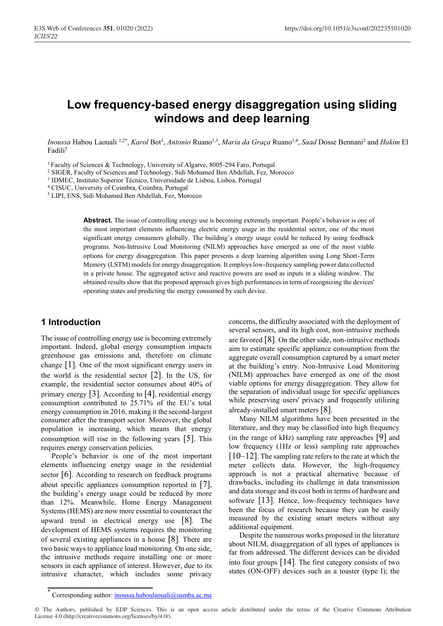# **Low frequency-based energy disaggregation using sliding windows and deep learning**

Inoussa Habou Laouali <sup>1,2\*</sup>, *Karol* Bot<sup>1</sup>, *Antonio* Ruano<sup>1,3</sup>, *Maria da Graça* Ruano<sup>1,4</sup>, *Saad* Dosse Bennani<sup>2</sup> and *Hakim* El Fadili5

1 Faculty of Sciences & Technology, University of Algarve, 8005-294 Faro, Portugal

<sup>2</sup> SIGER, Faculty of Sciences and Technology, Sidi Mohamed Ben Abdellah, Fez, Morocco

<sup>3</sup> IDMEC, Instituto Superior Técnico, Universidade de Lisboa, Lisboa, Portugal

<sup>4</sup> CISUC, University of Coimbra, Coimbra, Portugal

<sup>5</sup> LIPI, ENS, Sidi Mohamed Ben Abdellah, Fez, Morocco

**Abstract.** The issue of controlling energy use is becoming extremely important. People's behavior is one of the most important elements influencing electric energy usage in the residential sector, one of the most significant energy consumers globally. The building's energy usage could be reduced by using feedback programs. Non-Intrusive Load Monitoring (NILM) approaches have emerged as one of the most viable options for energy disaggregation. This paper presents a deep learning algorithm using Long Short-Term Memory (LSTM) models for energy disaggregation. It employs low-frequency sampling power data collected in a private house. The aggregated active and reactive powers are used as inputs in a sliding window. The obtained results show that the proposed approach gives high performances in term of recognizing the devices' operating states and predicting the energy consumed by each device.

### **1 Introduction**

The issue of controlling energy use is becoming extremely important. Indeed, global energy consumption impacts greenhouse gas emissions and, therefore on climate change [1]. One of the most significant energy users in the world is the residential sector  $[2]$ . In the US, for example, the residential sector consumes about 40% of primary energy  $|3|$ . According to  $|4|$ , residential energy consumption contributed to 25.71% of the EU's total energy consumption in 2016, making it the second-largest consumer after the transport sector. Moreover, the global population is increasing, which means that energy consumption will rise in the following years [5]. This requires energy conservation policies.

People's behavior is one of the most important elements influencing energy usage in the residential sector [6]. According to research on feedback programs about specific appliances consumption reported in [7], the building's energy usage could be reduced by more than 12%. Meanwhile, Home Energy Management Systems (HEMS) are now more essential to counteract the upward trend in electrical energy use [8]. The development of HEMS systems requires the monitoring of several existing appliances in a house [8]. There are two basic ways to appliance load monitoring. On one side, the intrusive methods require installing one or more sensors in each appliance of interest. However, due to its intrusive character, which includes some privacy concerns, the difficulty associated with the deployment of several sensors, and its high cost, non-intrusive methods are favored [8]. On the other side, non-intrusive methods aim to estimate specific appliance consumption from the aggregate overall consumption captured by a smart meter at the building's entry. Non-Intrusive Load Monitoring (NILM) approaches have emerged as one of the most viable options for energy disaggregation. They allow for the separation of individual usage for specific appliances while preserving users' privacy and frequently utilizing already-installed smart meters [8].

Many NILM algorithms have been presented in the literature, and they may be classified into high frequency (in the range of kHz) sampling rate approaches [9] and low frequency (1Hz or less) sampling rate approaches  $[10-12]$ . The sampling rate refers to the rate at which the meter collects data. However, the high-frequency approach is not a practical alternative because of drawbacks, including its challenge in data transmission and data storage and its cost both in terms of hardware and software [13]. Hence, low-frequency techniques have been the focus of research because they can be easily measured by the existing smart meters without any additional equipment.

Despite the numerous works proposed in the literature about NILM, disaggregation of all types of appliances is far from addressed. The different devices can be divided into four groups [14]. The first category consists of two states (ON-OFF) devices such as a toaster (type I); the

© The Authors, published by EDP Sciences. This is an open access article distributed under the terms of the Creative Commons Attribution License 4.0 (http://creativecommons.org/licenses/by/4.0/).

Corresponding author: inoussa.haboulaouali@usmba.ac.ma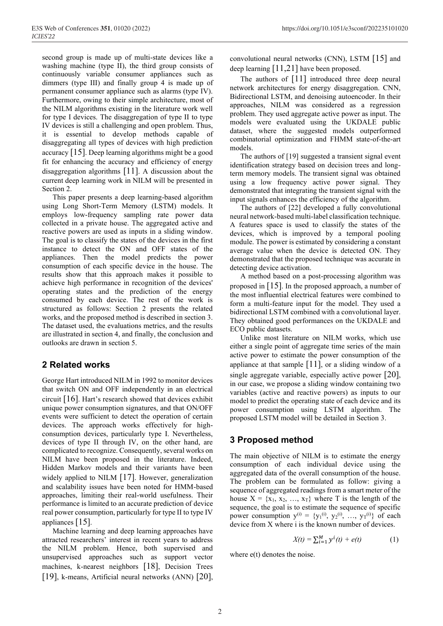second group is made up of multi-state devices like a washing machine (type II), the third group consists of continuously variable consumer appliances such as dimmers (type III) and finally group 4 is made up of permanent consumer appliance such as alarms (type IV). Furthermore, owing to their simple architecture, most of the NILM algorithms existing in the literature work well for type I devices. The disaggregation of type II to type IV devices is still a challenging and open problem. Thus, it is essential to develop methods capable of disaggregating all types of devices with high prediction accuracy [15]. Deep learning algorithms might be a good fit for enhancing the accuracy and efficiency of energy disaggregation algorithms [11]. A discussion about the current deep learning work in NILM will be presented in Section 2.

This paper presents a deep learning-based algorithm using Long Short-Term Memory (LSTM) models. It employs low-frequency sampling rate power data collected in a private house. The aggregated active and reactive powers are used as inputs in a sliding window. The goal is to classify the states of the devices in the first instance to detect the ON and OFF states of the appliances. Then the model predicts the power consumption of each specific device in the house. The results show that this approach makes it possible to achieve high performance in recognition of the devices' operating states and the prediction of the energy consumed by each device. The rest of the work is structured as follows: Section 2 presents the related works, and the proposed method is described in section 3. The dataset used, the evaluations metrics, and the results are illustrated in section 4, and finally, the conclusion and outlooks are drawn in section 5.

# **2 Related works**

George Hart introduced NILM in 1992 to monitor devices that switch ON and OFF independently in an electrical circuit [16]. Hart's research showed that devices exhibit unique power consumption signatures, and that ON/OFF events were sufficient to detect the operation of certain devices. The approach works effectively for highconsumption devices, particularly type I. Nevertheless, devices of type II through IV, on the other hand, are complicated to recognize. Consequently, several works on NILM have been proposed in the literature. Indeed, Hidden Markov models and their variants have been widely applied to NILM [17]. However, generalization and scalability issues have been noted for HMM-based approaches, limiting their real-world usefulness. Their performance is limited to an accurate prediction of device real power consumption, particularly for type II to type IV appliances [15].

Machine learning and deep learning approaches have attracted researchers' interest in recent years to address the NILM problem. Hence, both supervised and unsupervised approaches such as support vector machines, k-nearest neighbors [18], Decision Trees [19], k-means, Artificial neural networks (ANN) [20],

convolutional neural networks (CNN), LSTM [15] and deep learning [11,21] have been proposed.

The authors of [11] introduced three deep neural network architectures for energy disaggregation. CNN, Bidirectional LSTM, and denoising autoencoder. In their approaches, NILM was considered as a regression problem. They used aggregate active power as input. The models were evaluated using the UKDALE public dataset, where the suggested models outperformed combinatorial optimization and FHMM state-of-the-art models.

The authors of [19] suggested a transient signal event identification strategy based on decision trees and longterm memory models. The transient signal was obtained using a low frequency active power signal. They demonstrated that integrating the transient signal with the input signals enhances the efficiency of the algorithm.

The authors of [22] developed a fully convolutional neural network-based multi-label classification technique. A features space is used to classify the states of the devices, which is improved by a temporal pooling module. The power is estimated by considering a constant average value when the device is detected ON. They demonstrated that the proposed technique was accurate in detecting device activation.

A method based on a post-processing algorithm was proposed in [15]. In the proposed approach, a number of the most influential electrical features were combined to form a multi-feature input for the model. They used a bidirectional LSTM combined with a convolutional layer. They obtained good performances on the UKDALE and ECO public datasets.

Unlike most literature on NILM works, which use either a single point of aggregate time series of the main active power to estimate the power consumption of the appliance at that sample  $[11]$ , or a sliding window of a single aggregate variable, especially active power  $[20]$ , in our case, we propose a sliding window containing two variables (active and reactive powers) as inputs to our model to predict the operating state of each device and its power consumption using LSTM algorithm. The proposed LSTM model will be detailed in Section 3.

# **3 Proposed method**

The main objective of NILM is to estimate the energy consumption of each individual device using the aggregated data of the overall consumption of the house. The problem can be formulated as follow: giving a sequence of aggregated readings from a smart meter of the house  $X = \{x_1, x_2, ..., x_T\}$  where T is the length of the sequence, the goal is to estimate the sequence of specific power consumption  $y^{(i)} = \{y_1^{(i)}, y_2^{(i)}, ..., y_T^{(i)}\}$  of each device from X where i is the known number of devices.

$$
X(t) = \sum_{i=1}^{M} y^{i}(t) + e(t)
$$
 (1)

where  $e(t)$  denotes the noise.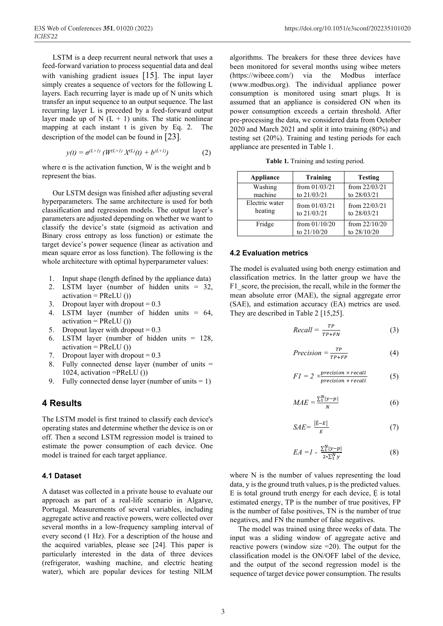LSTM is a deep recurrent neural network that uses a feed-forward variation to process sequential data and deal with vanishing gradient issues [15]. The input layer simply creates a sequence of vectors for the following L layers. Each recurring layer is made up of N units which transfer an input sequence to an output sequence. The last recurring layer L is preceded by a feed-forward output layer made up of N  $(L + 1)$  units. The static nonlinear mapping at each instant t is given by Eq. 2. The description of the model can be found in [23].

$$
y(t) = \sigma^{(L+1)} \left( W^{(L+1)} X^{(L)}(t) + b^{(L+1)} \right) \tag{2}
$$

where  $\sigma$  is the activation function, W is the weight and b represent the bias.

Our LSTM design was finished after adjusting several hyperparameters. The same architecture is used for both classification and regression models. The output layer's parameters are adjusted depending on whether we want to classify the device's state (sigmoid as activation and Binary cross entropy as loss function) or estimate the target device's power sequence (linear as activation and mean square error as loss function). The following is the whole architecture with optimal hyperparameter values:

- 1. Input shape (length defined by the appliance data)
- 2. LSTM layer (number of hidden units = 32,  $activation = PReLU()$
- 3. Dropout layer with dropout  $= 0.3$
- 4. LSTM layer (number of hidden units = 64,  $\text{activation} = \text{PReLU}()$
- 5. Dropout layer with dropout  $= 0.3$
- 6. LSTM layer (number of hidden units = 128,  $activation = PReLU()$
- 7. Dropout layer with dropout  $= 0.3$
- 8. Fully connected dense layer (number of units = 1024, activation =PReLU ())
- 9. Fully connected dense layer (number of units  $= 1$ )

#### **4 Results**

The LSTM model is first trained to classify each device's operating states and determine whether the device is on or off. Then a second LSTM regression model is trained to estimate the power consumption of each device. One model is trained for each target appliance.

#### **4.1 Dataset**

A dataset was collected in a private house to evaluate our approach as part of a real-life scenario in Algarve, Portugal. Measurements of several variables, including aggregate active and reactive powers, were collected over several months in a low-frequency sampling interval of every second (1 Hz). For a description of the house and the acquired variables, please see [24]. This paper is particularly interested in the data of three devices (refrigerator, washing machine, and electric heating water), which are popular devices for testing NILM

algorithms. The breakers for these three devices have been monitored for several months using wibee meters (https://wibeee.com/) via the Modbus interface (www.modbus.org). The individual appliance power consumption is monitored using smart plugs. It is assumed that an appliance is considered ON when its power consumption exceeds a certain threshold. After pre-processing the data, we considered data from October 2020 and March 2021 and split it into training (80%) and testing set (20%). Training and testing periods for each appliance are presented in Table 1.

**Table 1.** Training and testing period.

| Appliance      | Training                       | <b>Testing</b>                 |
|----------------|--------------------------------|--------------------------------|
| Washing        | from $01/03/21$                | from $22/03/21$                |
| machine        | to 21/03/21                    | to 28/03/21                    |
| Electric water | from $01/03/21$                | from $22/03/21$                |
| heating        | to 21/03/21                    | to 28/03/21                    |
| Fridge         | from $01/10/20$<br>to 21/10/20 | from $22/10/20$<br>to 28/10/20 |

#### **4.2 Evaluation metrics**

The model is evaluated using both energy estimation and classification metrics. In the latter group we have the F1\_score, the precision, the recall, while in the former the mean absolute error (MAE), the signal aggregate error (SAE), and estimation accuracy (EA) metrics are used. They are described in Table 2 [15,25].

$$
Recall = \frac{TP}{TP+FN} \tag{3}
$$

$$
Precision = \frac{TP}{TP + FP}
$$
 (4)

$$
FI = 2 \times \frac{precision \times recall}{precision + recall}
$$
 (5)

$$
MAE = \frac{\sum_{1}^{N} |y - p|}{N}
$$
 (6)

$$
SAE = \frac{|\hat{\mathbf{E}} - E|}{E} \tag{7}
$$

$$
EA = I - \frac{\sum_{1}^{N} |y - p|}{2 \sum_{1}^{N} y}
$$
 (8)

where N is the number of values representing the load data, y is the ground truth values, p is the predicted values. E is total ground truth energy for each device,  $\hat{E}$  is total estimated energy, TP is the number of true positives, FP is the number of false positives, TN is the number of true negatives, and FN the number of false negatives.

The model was trained using three weeks of data. The input was a sliding window of aggregate active and reactive powers (window size =20). The output for the classification model is the ON/OFF label of the device, and the output of the second regression model is the sequence of target device power consumption. The results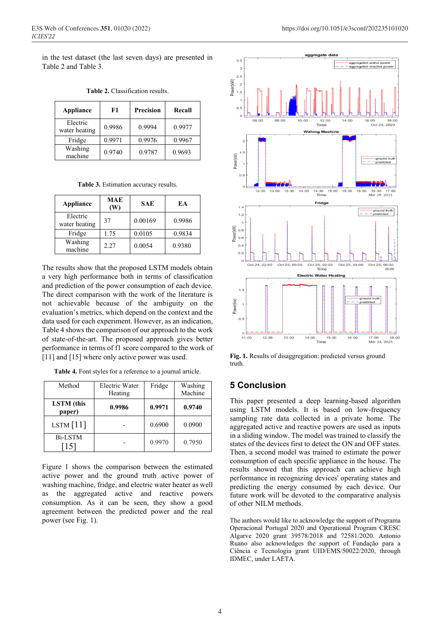in the test dataset (the last seven days) are presented in Table 2 and Table 3.

| Appliance                 | F1     | Precision | Recall |
|---------------------------|--------|-----------|--------|
| Electric<br>water heating | 0.9986 | 0.9994    | 0.9977 |
| Fridge                    | 0.9971 | 0.9976    | 0.9967 |
| Washing<br>machine        | 0.9740 | 0.9787    | 0.9693 |

**Table 2.** Classification results.

**Table 3.** Estimation accuracy results.

| Appliance                 | <b>MAE</b><br>(W) | <b>SAE</b> | EA     |
|---------------------------|-------------------|------------|--------|
| Electric<br>water heating | 37                | 0.00169    | 0.9986 |
| Fridge                    | 1.75              | 0.0105     | 0.9834 |
| Washing<br>machine        | 2.27              | 0.0054     | 0.9380 |

The results show that the proposed LSTM models obtain a very high performance both in terms of classification and prediction of the power consumption of each device. The direct comparison with the work of the literature is not achievable because of the ambiguity on the evaluation's metrics, which depend on the context and the data used for each experiment. However, as an indication, Table 4 shows the comparison of our approach to the work of state-of-the-art. The proposed approach gives better performance in terms of f1 score compared to the work of [11] and [15] where only active power was used.

| Table 4. Font styles for a reference to a journal article. |  |  |  |
|------------------------------------------------------------|--|--|--|
|                                                            |  |  |  |

| Method                      | Electric Water<br>Heating | Fridge | Washing<br>Machine |
|-----------------------------|---------------------------|--------|--------------------|
| <b>LSTM</b> (this<br>paper) | 0.9986                    | 0.9971 | 0.9740             |
| LSTM $[11]$                 |                           | 0.6900 | 0.0900             |
| <b>Bi-LSTM</b><br>15        |                           | 0.9970 | 0.7950             |

Figure 1 shows the comparison between the estimated active power and the ground truth active power of washing machine, fridge, and electric water heater as well as the aggregated active and reactive powers consumption. As it can be seen, they show a good agreement between the predicted power and the real power (see Fig. 1).



**Fig. 1.** Results of disaggregation: predicted versus ground truth.

## **5 Conclusion**

This paper presented a deep learning-based algorithm using LSTM models. It is based on low-frequency sampling rate data collected in a private home. The aggregated active and reactive powers are used as inputs in a sliding window. The model was trained to classify the states of the devices first to detect the ON and OFF states. Then, a second model was trained to estimate the power consumption of each specific appliance in the house. The results showed that this approach can achieve high performance in recognizing devices' operating states and predicting the energy consumed by each device. Our future work will be devoted to the comparative analysis of other NILM methods.

The authors would like to acknowledge the support of Programa Operacional Portugal 2020 and Operational Program CRESC Algarve 2020 grant 39578/2018 and 72581/2020. Antonio Ruano also acknowledges the support of Fundação para a Ciência e Tecnologia grant UID/EMS/50022/2020, through IDMEC, under LAETA.